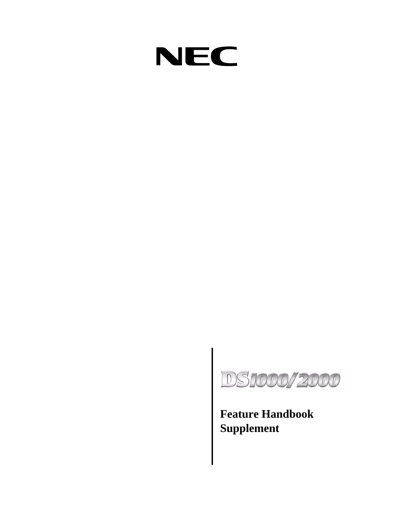



**Supplement**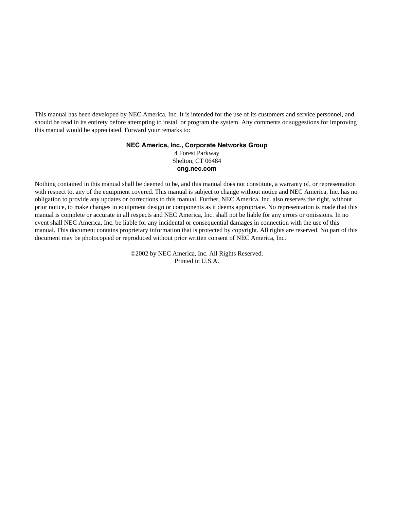This manual has been developed by NEC America, Inc. It is intended for the use of its customers and service personnel, and should be read in its entirety before attempting to install or program the system. Any comments or suggestions for improving this manual would be appreciated. Forward your remarks to:

## **NEC America, Inc., Corporate Networks Group**

4 Forest Parkway Shelton, CT 06484 **cng.nec.com**

Nothing contained in this manual shall be deemed to be, and this manual does not constitute, a warranty of, or representation with respect to, any of the equipment covered. This manual is subject to change without notice and NEC America, Inc. has no obligation to provide any updates or corrections to this manual. Further, NEC America, Inc. also reserves the right, without prior notice, to make changes in equipment design or components as it deems appropriate. No representation is made that this manual is complete or accurate in all respects and NEC America, Inc. shall not be liable for any errors or omissions. In no event shall NEC America, Inc. be liable for any incidental or consequential damages in connection with the use of this manual. This document contains proprietary information that is protected by copyright. All rights are reserved. No part of this document may be photocopied or reproduced without prior written consent of NEC America, Inc.

> ©2002 by NEC America, Inc. All Rights Reserved. Printed in U.S.A.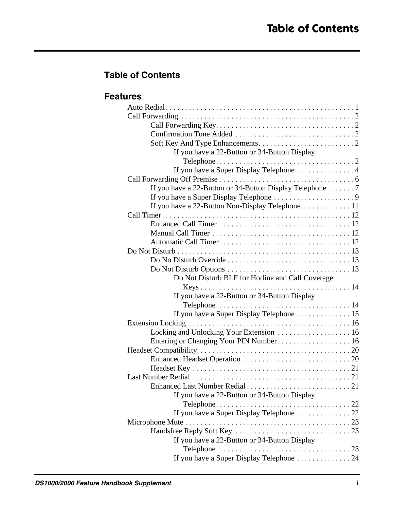# **Table of Contents**

## **Features**

| If you have a 22-Button or 34-Button Display             |  |
|----------------------------------------------------------|--|
|                                                          |  |
| If you have a Super Display Telephone 4                  |  |
|                                                          |  |
| If you have a 22-Button or 34-Button Display Telephone 7 |  |
|                                                          |  |
| If you have a 22-Button Non-Display Telephone 11         |  |
|                                                          |  |
|                                                          |  |
|                                                          |  |
|                                                          |  |
|                                                          |  |
|                                                          |  |
|                                                          |  |
| Do Not Disturb BLF for Hotline and Call Coverage         |  |
|                                                          |  |
| If you have a 22-Button or 34-Button Display             |  |
|                                                          |  |
| If you have a Super Display Telephone  15                |  |
|                                                          |  |
| Locking and Unlocking Your Extension  16                 |  |
| Entering or Changing Your PIN Number 16                  |  |
|                                                          |  |
|                                                          |  |
|                                                          |  |
|                                                          |  |
|                                                          |  |
| If you have a 22-Button or 34-Button Display             |  |
|                                                          |  |
| If you have a Super Display Telephone  22                |  |
|                                                          |  |
|                                                          |  |
| If you have a 22-Button or 34-Button Display             |  |
|                                                          |  |
| If you have a Super Display Telephone 24                 |  |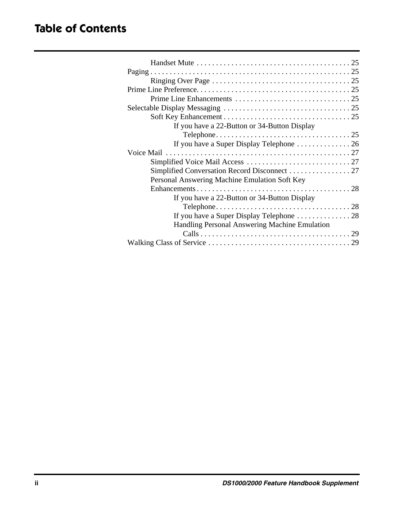| If you have a 22-Button or 34-Button Display  |  |
|-----------------------------------------------|--|
|                                               |  |
|                                               |  |
|                                               |  |
|                                               |  |
| Simplified Conversation Record Disconnect 27  |  |
| Personal Answering Machine Emulation Soft Key |  |
|                                               |  |
| If you have a 22-Button or 34-Button Display  |  |
|                                               |  |
|                                               |  |
| Handling Personal Answering Machine Emulation |  |
|                                               |  |
|                                               |  |
|                                               |  |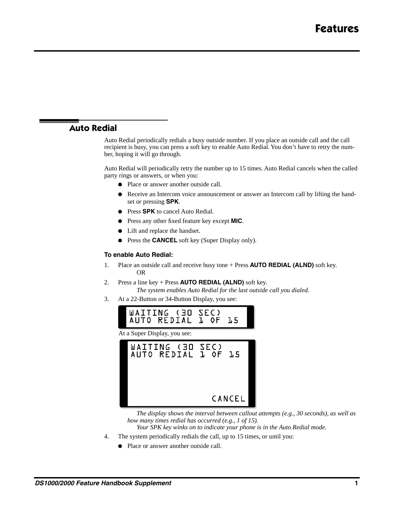## **Auto Redial**

Auto Redial periodically redials a busy outside number. If you place an outside call and the call recipient is busy, you can press a soft key to enable Auto Redial. You don't have to retry the number, hoping it will go through.

Auto Redial will periodically retry the number up to 15 times. Auto Redial cancels when the called party rings or answers, or when you:

- Place or answer another outside call.
- Receive an Intercom voice announcement or answer an Intercom call by lifting the handset or pressing **SPK**.
- Press **SPK** to cancel Auto Redial.
- Press any other fixed feature key except **MIC**.
- Lift and replace the handset.
- Press the **CANCEL** soft key (Super Display only).

#### **To enable Auto Redial:**

- 1. Place an outside call and receive busy tone + Press **AUTO REDIAL (ALND)** soft key. OR
- 2. Press a line key + Press **AUTO REDIAL (ALND)** soft key.

*The system enables Auto Redial for the last outside call you dialed.*

3. At a 22-Button or 34-Button Display, you see:



*The display shows the interval between callout attempts (e.g., 30 seconds), as well as how many times redial has occurred (e.g., 1 of 15).*

- *Your SPK key winks on to indicate your phone is in the Auto Redial mode.*
- 4. The system periodically redials the call, up to 15 times, or until you:
	- Place or answer another outside call.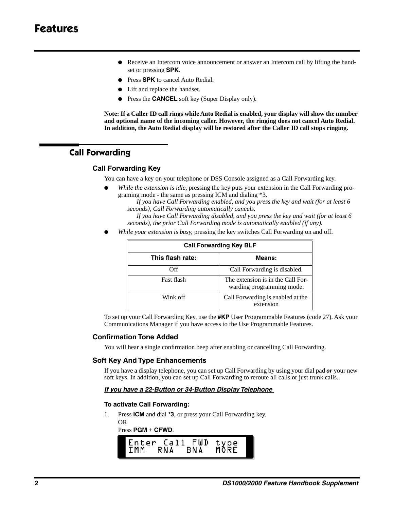- Receive an Intercom voice announcement or answer an Intercom call by lifting the handset or pressing **SPK**.
- Press **SPK** to cancel Auto Redial.
- Lift and replace the handset.
- Press the **CANCEL** soft key (Super Display only).

**Note: If a Caller ID call rings while Auto Redial is enabled, your display will show the number and optional name of the incoming caller. However, the ringing does not cancel Auto Redial. In addition, the Auto Redial display will be restored after the Caller ID call stops ringing.**

## **Call Forwarding**

## **Call Forwarding Key**

You can have a key on your telephone or DSS Console assigned as a Call Forwarding key.

While the extension is idle, pressing the key puts your extension in the Call Forwarding programing mode - the same as pressing ICM and dialing \*3.

*If you have Call Forwarding enabled, and you press the key and wait (for at least 6 seconds), Call Forwarding automatically cancels.*

*If you have Call Forwarding disabled, and you press the key and wait (for at least 6 seconds), the prior Call Forwarding mode is automatically enabled (if any).*

● *While your extension is busy*, pressing the key switches Call Forwarding on and off.

| <b>Call Forwarding Key BLF</b> |                                                                |  |
|--------------------------------|----------------------------------------------------------------|--|
| This flash rate:               | Means:                                                         |  |
| Off                            | Call Forwarding is disabled.                                   |  |
| Fast flash                     | The extension is in the Call For-<br>warding programming mode. |  |
| Wink off                       | Call Forwarding is enabled at the<br>extension                 |  |

To set up your Call Forwarding Key, use the **#KP** User Programmable Features (code 27). Ask your Communications Manager if you have access to the Use Programmable Features.

## **Confirmation Tone Added**

You will hear a single confirmation beep after enabling or cancelling Call Forwarding.

## **Soft Key And Type Enhancements**

If you have a display telephone, you can set up Call Forwarding by using your dial pad *or* your new soft keys. In addition, you can set up Call Forwarding to reroute all calls or just trunk calls.

#### *If you have a 22-Button or 34-Button Display Telephone*

#### **To activate Call Forwarding:**

1. Press **ICM** and dial **\*3**, or press your Call Forwarding key. OR

#### Press **PGM** + **CFWD**.

| IMM | RNA | Enter Call FWD<br>BNA | type<br>MORE |
|-----|-----|-----------------------|--------------|
|     |     |                       |              |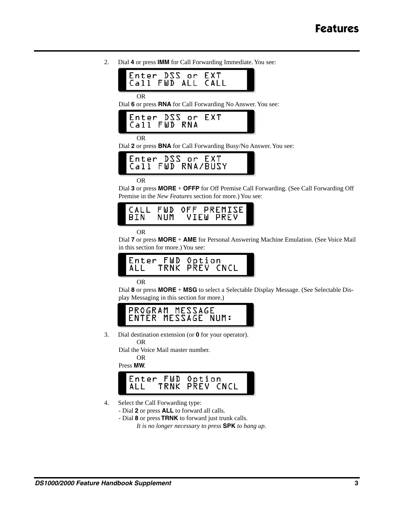2. Dial **4** or press **IMM** for Call Forwarding Immediate. You see:



Dial **6** or press **RNA** for Call Forwarding No Answer. You see:

OR

Dial **2** or press **BNA** for Call Forwarding Busy/No Answer. You see:



OR

Dial **3** or press **MORE** + **OFFP** for Off Premise Call Forwarding. (See Call Forwarding Off Premise in the *New Features* section for more.) You see:



OR

Dial **7** or press **MORE** + **AME** for Personal Answering Machine Emulation. (See Voice Mail in this section for more.) You see:



OR

Dial **8** or press **MORE** + **MSG** to select a Selectable Display Message. (See Selectable Display Messaging in this section for more.)



3. Dial destination extension (or **0** for your operator).

OR

Dial the Voice Mail master number.

OR

Press **MW**.



4. Select the Call Forwarding type:

- Dial **2** or press **ALL** to forward all calls.
- Dial **8** or press **TRNK** to forward just trunk calls.

*It is no longer necessary to press* **SPK** *to hang up.*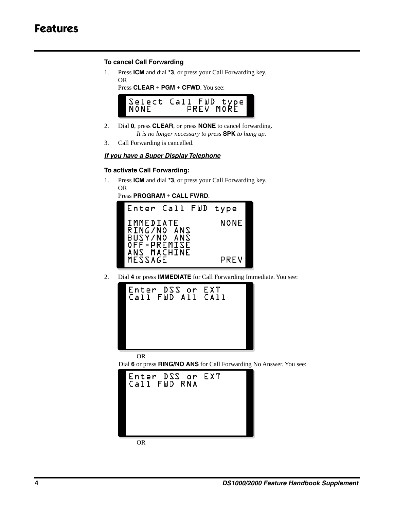# **Features**

## **To cancel Call Forwarding**

1. Press **ICM** and dial **\*3**, or press your Call Forwarding key. OR

Press **CLEAR** + **PGM** + **CFWD**. You see:



- 2. Dial **0**, press **CLEAR**, or press **NONE** to cancel forwarding. *It is no longer necessary to press* **SPK** *to hang up.*
- 3. Call Forwarding is cancelled.

## *If you have a Super Display Telephone*

## **To activate Call Forwarding:**

1. Press **ICM** and dial **\*3**, or press your Call Forwarding key. OR

Press **PROGRAM** + **CALL FWRD**.



2. Dial **4** or press **IMMEDIATE** for Call Forwarding Immediate. You see:



OR

Dial **6** or press **RING/NO ANS** for Call Forwarding No Answer. You see:



OR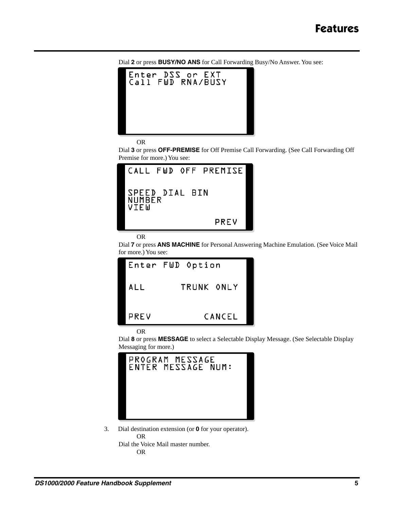Dial **2** or press **BUSY/NO ANS** for Call Forwarding Busy/No Answer. You see:



OR

Dial **3** or press **OFF-PREMISE** for Off Premise Call Forwarding. (See Call Forwarding Off Premise for more.) You see:



```
OR
```
Dial **7** or press **ANS MACHINE** for Personal Answering Machine Emulation. (See Voice Mail for more.) You see:

| Enter FWD Option |            |        |
|------------------|------------|--------|
| ALL              | TRUNK ONLY |        |
| PREV             |            | CANCEL |

OR

Dial **8** or press **MESSAGE** to select a Selectable Display Message. (See Selectable Display Messaging for more.)

|  | PROGRAM MESSAGE | ENTER MESSAGE NUM: |
|--|-----------------|--------------------|
|  |                 |                    |
|  |                 |                    |

3. Dial destination extension (or **0** for your operator). OR Dial the Voice Mail master number.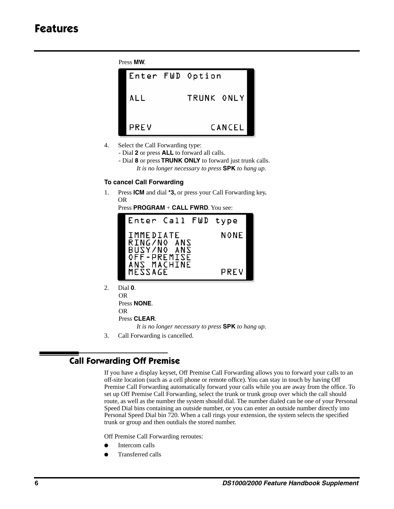Press **MW**.



- 4. Select the Call Forwarding type:
	- Dial **2** or press **ALL** to forward all calls.
	- Dial **8** or press **TRUNK ONLY** to forward just trunk calls. *It is no longer necessary to press* **SPK** *to hang up.*

## **To cancel Call Forwarding**

1. Press **ICM** and dial **\*3,** or press your Call Forwarding key**.** OR

Press **PROGRAM** + **CALL FWRD**. You see:



2. Dial **0**.

OR Press **NONE**. OR Press **CLEAR**. *It is no longer necessary to press* **SPK** *to hang up.*

3. Call Forwarding is cancelled.

## **Call Forwarding Off Premise**

If you have a display keyset, Off Premise Call Forwarding allows you to forward your calls to an off-site location (such as a cell phone or remote office). You can stay in touch by having Off Premise Call Forwarding automatically forward your calls while you are away from the office. To set up Off Premise Call Forwarding, select the trunk or trunk group over which the call should route, as well as the number the system should dial. The number dialed can be one of your Personal Speed Dial bins containing an outside number, or you can enter an outside number directly into Personal Speed Dial bin 720. When a call rings your extension, the system selects the specified trunk or group and then outdials the stored number.

Off Premise Call Forwarding reroutes:

- Intercom calls
- Transferred calls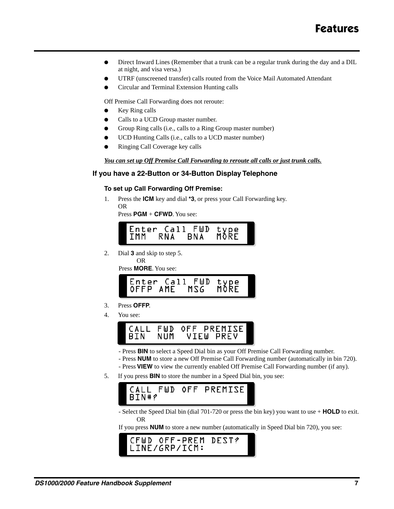- Direct Inward Lines (Remember that a trunk can be a regular trunk during the day and a DIL at night, and visa versa.)
- UTRF (unscreened transfer) calls routed from the Voice Mail Automated Attendant
- Circular and Terminal Extension Hunting calls

Off Premise Call Forwarding does not reroute:

- Key Ring calls
- Calls to a UCD Group master number.
- Group Ring calls (i.e., calls to a Ring Group master number)
- UCD Hunting Calls (i.e., calls to a UCD master number)
- Ringing Call Coverage key calls

## *You can set up Off Premise Call Forwarding to reroute all calls or just trunk calls.*

## **If you have a 22-Button or 34-Button Display Telephone**

## **To set up Call Forwarding Off Premise:**

1. Press the **ICM** key and dial **\*3**, or press your Call Forwarding key. OR

Press **PGM** + **CFWD**. You see:



2. Dial **3** and skip to step 5. OR

Press **MORE**. You see:



- 3. Press **OFFP**.
- 4. You see:



- Press **BIN** to select a Speed Dial bin as your Off Premise Call Forwarding number.
- Press **NUM** to store a new Off Premise Call Forwarding number (automatically in bin 720).
- Press **VIEW** to view the currently enabled Off Premise Call Forwarding number (if any).
- 5. If you press **BIN** to store the number in a Speed Dial bin, you see:



- Select the Speed Dial bin (dial 701-720 or press the bin key) you want to use + **HOLD** to exit. OR

If you press **NUM** to store a new number (automatically in Speed Dial bin 720), you see:

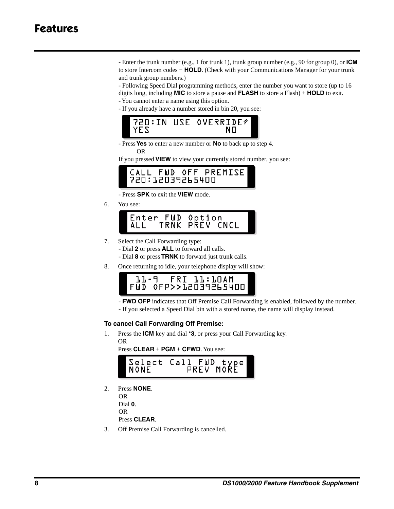# **Features**

- Enter the trunk number (e.g., 1 for trunk 1), trunk group number (e.g., 90 for group 0), or **ICM** to store Intercom codes + **HOLD**. (Check with your Communications Manager for your trunk and trunk group numbers.)

- Following Speed Dial programming methods, enter the number you want to store (up to 16 digits long, including **MIC** to store a pause and **FLASH** to store a Flash) + **HOLD** to exit.
- You cannot enter a name using this option.
- If you already have a number stored in bin 20, you see:



- Press **Yes** to enter a new number or **No** to back up to step 4.

OR

If you pressed **VIEW** to view your currently stored number, you see:



- Press **SPK** to exit the **VIEW** mode.

6. You see:



- 7. Select the Call Forwarding type:
	- Dial **2** or press **ALL** to forward all calls.
	- Dial **8** or press **TRNK** to forward just trunk calls.
- 8. Once returning to idle, your telephone display will show:

|                      | 11-9 FRI 11:10AM |  |  |
|----------------------|------------------|--|--|
| FWD OFP>>12039265400 |                  |  |  |

- **FWD OFP** indicates that Off Premise Call Forwarding is enabled, followed by the number.
- If you selected a Speed Dial bin with a stored name, the name will display instead.

## **To cancel Call Forwarding Off Premise:**

1. Press the **ICM** key and dial **\*3**, or press your Call Forwarding key. OR

Press **CLEAR** + **PGM** + **CFWD**. You see:



2. Press **NONE**. OR

Dial **0**. OR Press **CLEAR**.

3. Off Premise Call Forwarding is cancelled.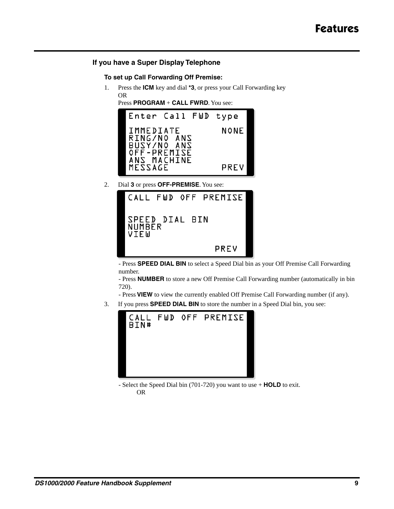## **If you have a Super Display Telephone**

## **To set up Call Forwarding Off Premise:**

1. Press the **ICM** key and dial **\*3**, or press your Call Forwarding key OR

Press **PROGRAM** + **CALL FWRD**. You see:



2. Dial **3** or press **OFF-PREMISE**. You see:



- Press **SPEED DIAL BIN** to select a Speed Dial bin as your Off Premise Call Forwarding number.

- Press **NUMBER** to store a new Off Premise Call Forwarding number (automatically in bin 720).

- Press **VIEW** to view the currently enabled Off Premise Call Forwarding number (if any).

3. If you press **SPEED DIAL BIN** to store the number in a Speed Dial bin, you see:



- Select the Speed Dial bin (701-720) you want to use + **HOLD** to exit. OR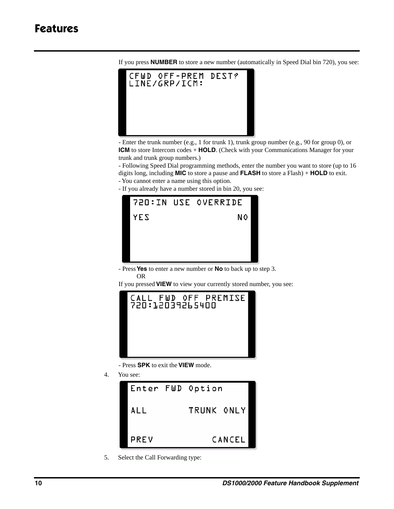

If you press **NUMBER** to store a new number (automatically in Speed Dial bin 720), you see:

- Enter the trunk number (e.g., 1 for trunk 1), trunk group number (e.g., 90 for group 0), or **ICM** to store Intercom codes + **HOLD**. (Check with your Communications Manager for your trunk and trunk group numbers.)

- Following Speed Dial programming methods, enter the number you want to store (up to 16 digits long, including **MIC** to store a pause and **FLASH** to store a Flash) + **HOLD** to exit.

- You cannot enter a name using this option.
- If you already have a number stored in bin 20, you see:



- Press **Yes** to enter a new number or **No** to back up to step 3. OR

If you pressed **VIEW** to view your currently stored number, you see:



- Press **SPK** to exit the **VIEW** mode.

4. You see:



5. Select the Call Forwarding type: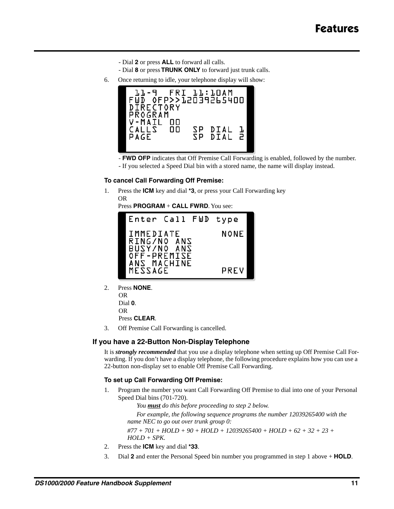- Dial **2** or press **ALL** to forward all calls.
- Dial **8** or press **TRUNK ONLY** to forward just trunk calls.
- 6. Once returning to idle, your telephone display will show:



- **FWD OFP** indicates that Off Premise Call Forwarding is enabled, followed by the number.
- If you selected a Speed Dial bin with a stored name, the name will display instead.

#### **To cancel Call Forwarding Off Premise:**

1. Press the **ICM** key and dial **\*3**, or press your Call Forwarding key OR

Press **PROGRAM** + **CALL FWRD**. You see:



2. Press **NONE**.

OR Dial **0**. OR Press **CLEAR**.

3. Off Premise Call Forwarding is cancelled.

## **If you have a 22-Button Non-Display Telephone**

It is *strongly recommended* that you use a display telephone when setting up Off Premise Call Forwarding. If you don't have a display telephone, the following procedure explains how you can use a 22-button non-display set to enable Off Premise Call Forwarding.

#### **To set up Call Forwarding Off Premise:**

1. Program the number you want Call Forwarding Off Premise to dial into one of your Personal Speed Dial bins (701-720).

*You must do this before proceeding to step 2 below.*

*For example, the following sequence programs the number 12039265400 with the name NEC to go out over trunk group 0: #77 + 701 + HOLD + 90 + HOLD + 12039265400 + HOLD + 62 + 32 + 23 +* 

- *HOLD + SPK.*
- 2. Press the **ICM** key and dial **\*33**.
- 3. Dial **2** and enter the Personal Speed bin number you programmed in step 1 above + **HOLD**.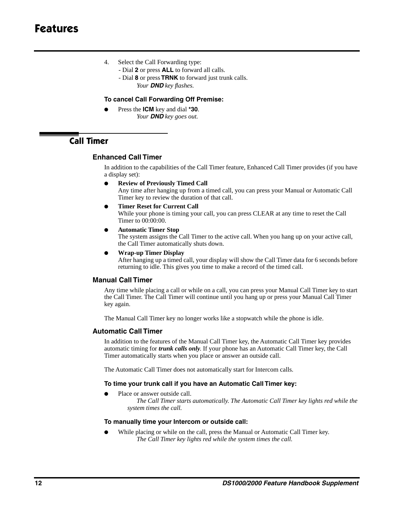- 4. Select the Call Forwarding type:
	- Dial **2** or press **ALL** to forward all calls.
	- Dial **8** or press **TRNK** to forward just trunk calls. *Your DND key flashes.*

## **To cancel Call Forwarding Off Premise:**

Press the **ICM** key and dial **\*30**. *Your DND key goes out.*

## **Call Timer**

## **Enhanced Call Timer**

In addition to the capabilities of the Call Timer feature, Enhanced Call Timer provides (if you have a display set):

- **Review of Previously Timed Call** Any time after hanging up from a timed call, you can press your Manual or Automatic Call Timer key to review the duration of that call.
- **Timer Reset for Current Call** While your phone is timing your call, you can press CLEAR at any time to reset the Call Timer to 00:00:00.
- **Automatic Timer Stop**

The system assigns the Call Timer to the active call. When you hang up on your active call, the Call Timer automatically shuts down.

● **Wrap-up Timer Display**

After hanging up a timed call, your display will show the Call Timer data for 6 seconds before returning to idle. This gives you time to make a record of the timed call.

## **Manual Call Timer**

Any time while placing a call or while on a call, you can press your Manual Call Timer key to start the Call Timer. The Call Timer will continue until you hang up or press your Manual Call Timer key again.

The Manual Call Timer key no longer works like a stopwatch while the phone is idle.

## **Automatic Call Timer**

In addition to the features of the Manual Call Timer key, the Automatic Call Timer key provides automatic timing for *trunk calls only*. If your phone has an Automatic Call Timer key, the Call Timer automatically starts when you place or answer an outside call.

The Automatic Call Timer does not automatically start for Intercom calls.

## **To time your trunk call if you have an Automatic Call Timer key:**

Place or answer outside call.

*The Call Timer starts automatically. The Automatic Call Timer key lights red while the system times the call.*

## **To manually time your Intercom or outside call:**

While placing or while on the call, press the Manual or Automatic Call Timer key. *The Call Timer key lights red while the system times the call.*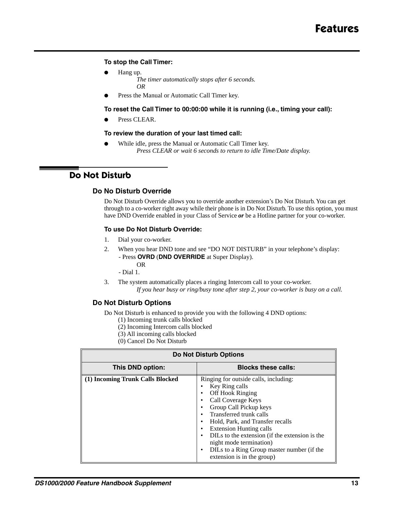## **To stop the Call Timer:**

Hang up.

*The timer automatically stops after 6 seconds. OR*

Press the Manual or Automatic Call Timer key.

## **To reset the Call Timer to 00:00:00 while it is running (i.e., timing your call):**

Press CLEAR.

## **To review the duration of your last timed call:**

While idle, press the Manual or Automatic Call Timer key. *Press CLEAR or wait 6 seconds to return to idle Time/Date display.*

## **Do Not Disturb**

## **Do No Disturb Override**

Do Not Disturb Override allows you to override another extension's Do Not Disturb. You can get through to a co-worker right away while their phone is in Do Not Disturb. To use this option, you must have DND Override enabled in your Class of Service *or* be a Hotline partner for your co-worker.

## **To use Do Not Disturb Override:**

- 1. Dial your co-worker.
- 2. When you hear DND tone and see "DO NOT DISTURB" in your telephone's display:
	- Press **OVRD** (**DND OVERRIDE** at Super Display). OR

- Dial 1.

3. The system automatically places a ringing Intercom call to your co-worker. *If you hear busy or ring/busy tone after step 2, your co-worker is busy on a call.*

## **Do Not Disturb Options**

Do Not Disturb is enhanced to provide you with the following 4 DND options:

- (1) Incoming trunk calls blocked
- (2) Incoming Intercom calls blocked
- (3) All incoming calls blocked
- (0) Cancel Do Not Disturb

| <b>Do Not Disturb Options</b>                  |                                                                                                                                                                                                                                                                                                                                                                                                                            |  |  |
|------------------------------------------------|----------------------------------------------------------------------------------------------------------------------------------------------------------------------------------------------------------------------------------------------------------------------------------------------------------------------------------------------------------------------------------------------------------------------------|--|--|
| This DND option:<br><b>Blocks these calls:</b> |                                                                                                                                                                                                                                                                                                                                                                                                                            |  |  |
| (1) Incoming Trunk Calls Blocked               | Ringing for outside calls, including:<br>Key Ring calls<br><b>Off Hook Ringing</b><br>Call Coverage Keys<br>٠<br>Group Call Pickup keys<br>Transferred trunk calls<br>٠<br>Hold, Park, and Transfer recalls<br>٠<br><b>Extension Hunting calls</b><br>٠<br>DILs to the extension (if the extension is the<br>٠<br>night mode termination)<br>DILs to a Ring Group master number (if the<br>٠<br>extension is in the group) |  |  |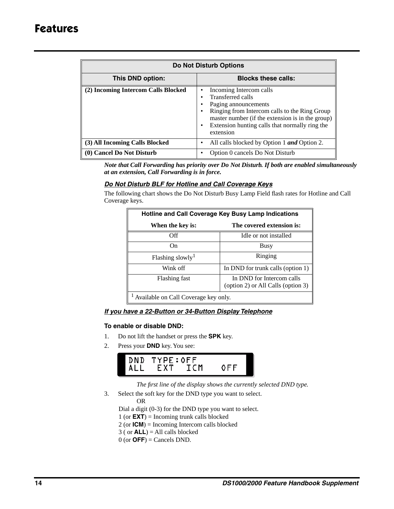| <b>Do Not Disturb Options</b>                  |                                                                                                                                                                                                                                                         |  |  |
|------------------------------------------------|---------------------------------------------------------------------------------------------------------------------------------------------------------------------------------------------------------------------------------------------------------|--|--|
| <b>Blocks these calls:</b><br>This DND option: |                                                                                                                                                                                                                                                         |  |  |
| (2) Incoming Intercom Calls Blocked            | Incoming Intercom calls<br>٠<br>Transferred calls<br>Paging announcements<br>Ringing from Intercom calls to the Ring Group<br>٠<br>master number (if the extension is in the group)<br>Extension hunting calls that normally ring the<br>٠<br>extension |  |  |
| (3) All Incoming Calls Blocked                 | All calls blocked by Option 1 <i>and</i> Option 2.                                                                                                                                                                                                      |  |  |
| (0) Cancel Do Not Disturb                      | Option 0 cancels Do Not Disturb                                                                                                                                                                                                                         |  |  |

*Note that Call Forwarding has priority over Do Not Disturb. If both are enabled simultaneously at an extension, Call Forwarding is in force.*

## *Do Not Disturb BLF for Hotline and Call Coverage Keys*

The following chart shows the Do Not Disturb Busy Lamp Field flash rates for Hotline and Call Coverage keys.

| Hotline and Call Coverage Key Busy Lamp Indications                              |                                   |  |  |
|----------------------------------------------------------------------------------|-----------------------------------|--|--|
| When the key is:                                                                 | The covered extension is:         |  |  |
| Эff                                                                              | Idle or not installed             |  |  |
| On.                                                                              | Busy                              |  |  |
| Flashing slowly <sup>1</sup>                                                     | Ringing                           |  |  |
| Wink off                                                                         | In DND for trunk calls (option 1) |  |  |
| In DND for Intercom calls<br>Flashing fast<br>(option 2) or All Calls (option 3) |                                   |  |  |
| Available on Call Coverage key only.                                             |                                   |  |  |

## *If you have a 22-Button or 34-Button Display Telephone*

## **To enable or disable DND:**

- 1. Do not lift the handset or press the **SPK** key.
- 2. Press your **DND** key. You see:



*The first line of the display shows the currently selected DND type.*

3. Select the soft key for the DND type you want to select.

OR

Dial a digit (0-3) for the DND type you want to select.

- 1 (or **EXT**) = Incoming trunk calls blocked
- 2 (or **ICM**) = Incoming Intercom calls blocked
- 3 ( or **ALL**) = All calls blocked
- $0$  (or  $\text{OFF}$ ) = Cancels DND.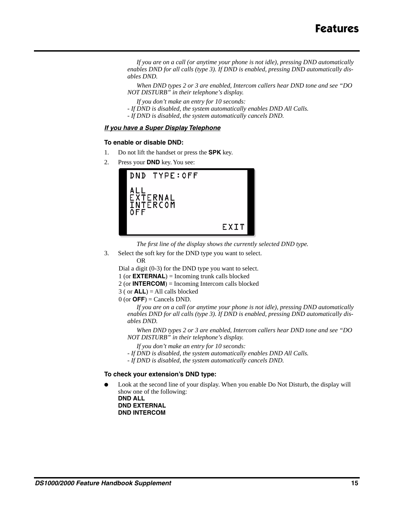*If you are on a call (or anytime your phone is not idle), pressing DND automatically enables DND for all calls (type 3). If DND is enabled, pressing DND automatically disables DND.*

*When DND types 2 or 3 are enabled, Intercom callers hear DND tone and see "DO NOT DISTURB" in their telephone's display.*

*If you don't make an entry for 10 seconds:*

- *If DND is disabled, the system automatically enables DND All Calls.*
- *If DND is disabled, the system automatically cancels DND.*

#### *If you have a Super Display Telephone*

#### **To enable or disable DND:**

- 1. Do not lift the handset or press the **SPK** key.
- 2. Press your **DND** key. You see:



*The first line of the display shows the currently selected DND type.*

3. Select the soft key for the DND type you want to select. OR

Dial a digit (0-3) for the DND type you want to select.

- 1 (or **EXTERNAL**) = Incoming trunk calls blocked
- 2 (or **INTERCOM**) = Incoming Intercom calls blocked

3 ( or **ALL**) = All calls blocked

 $0$  (or  $OFF$ ) = Cancels DND.

*If you are on a call (or anytime your phone is not idle), pressing DND automatically enables DND for all calls (type 3). If DND is enabled, pressing DND automatically disables DND.*

*When DND types 2 or 3 are enabled, Intercom callers hear DND tone and see "DO NOT DISTURB" in their telephone's display.*

- *If you don't make an entry for 10 seconds:*
- *If DND is disabled, the system automatically enables DND All Calls.*
- *If DND is disabled, the system automatically cancels DND.*

#### **To check your extension's DND type:**

Look at the second line of your display. When you enable Do Not Disturb, the display will show one of the following: **DND ALL**

**DND EXTERNAL DND INTERCOM**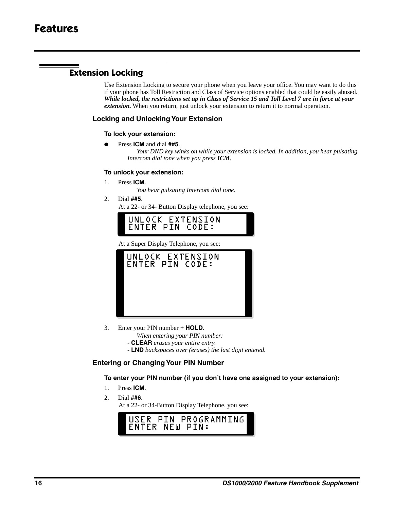## **Extension Locking**

Use Extension Locking to secure your phone when you leave your office. You may want to do this if your phone has Toll Restriction and Class of Service options enabled that could be easily abused. *While locked, the restrictions set up in Class of Service 15 and Toll Level 7 are in force at your extension*. When you return, just unlock your extension to return it to normal operation.

## **Locking and Unlocking Your Extension**

## **To lock your extension:**

● Press **ICM** and dial **##5**.

*Your DND key winks on while your extension is locked. In addition, you hear pulsating Intercom dial tone when you press ICM.*

## **To unlock your extension:**

1. Press **ICM**.

*You hear pulsating Intercom dial tone.*

2. Dial **##5**.

At a 22- or 34- Button Display telephone, you see:



At a Super Display Telephone, you see:



- 3. Enter your PIN number + **HOLD**.
	- *When entering your PIN number:*
	- **CLEAR** *erases your entire entry.*
	- **LND** *backspaces over (erases) the last digit entered.*

## **Entering or Changing Your PIN Number**

**To enter your PIN number (if you don't have one assigned to your extension):**

- 1. Press **ICM**.
- 2. Dial **##6**.

At a 22- or 34-Button Display Telephone, you see:

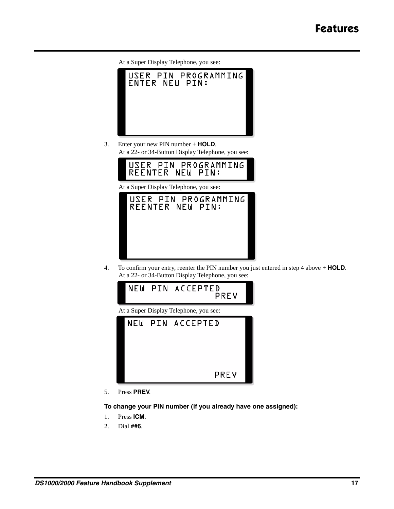

3. Enter your new PIN number + **HOLD**. At a 22- or 34-Button Display Telephone, you see:



At a Super Display Telephone, you see:



4. To confirm your entry, reenter the PIN number you just entered in step 4 above + **HOLD**. At a 22- or 34-Button Display Telephone, you see:



5. Press **PREV**.

**To change your PIN number (if you already have one assigned):**

- 1. Press **ICM**.
- 2. Dial **##6**.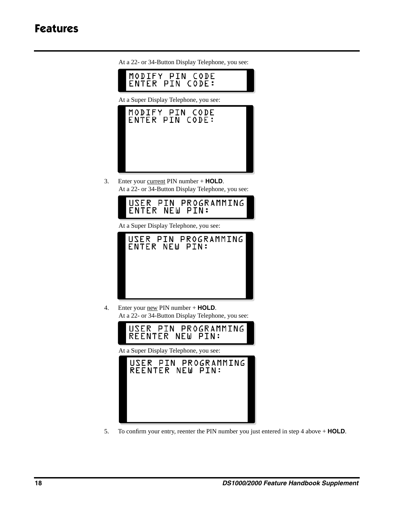# **Features**

MODIFY PIN CODE ENTER PIN CODE: At a Super Display Telephone, you see: MODIFY PIN CODE ENTER PIN CODE:

At a 22- or 34-Button Display Telephone, you see:

3. Enter your current PIN number + **HOLD**. At a 22- or 34-Button Display Telephone, you see:



At a Super Display Telephone, you see:



4. Enter your new PIN number + **HOLD**. At a 22- or 34-Button Display Telephone, you see:



At a Super Display Telephone, you see:



5. To confirm your entry, reenter the PIN number you just entered in step 4 above + **HOLD**.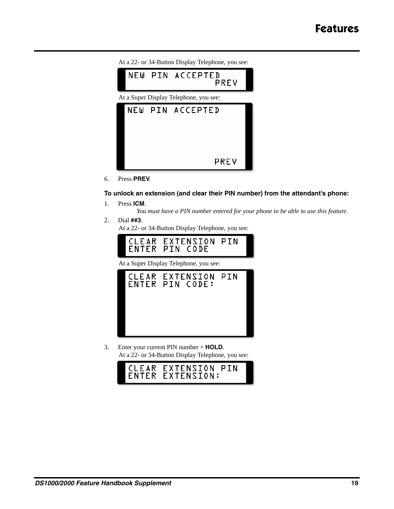- At a 22- or 34-Button Display Telephone, you see: NEW PIN ACCEPTED PREV At a Super Display Telephone, you see: NEW PIN ACCEPTED PREV
- 6. Press **PREV**.

## **To unlock an extension (and clear their PIN number) from the attendant's phone:**

- 1. Press **ICM**.
	- *You must have a PIN number entered for your phone to be able to use this feature.*
- 2. Dial **##3**. At a 22- or 34-Button Display Telephone, you see:



At a Super Display Telephone, you see:



3. Enter your current PIN number + **HOLD**. At a 22- or 34-Button Display Telephone, you see:

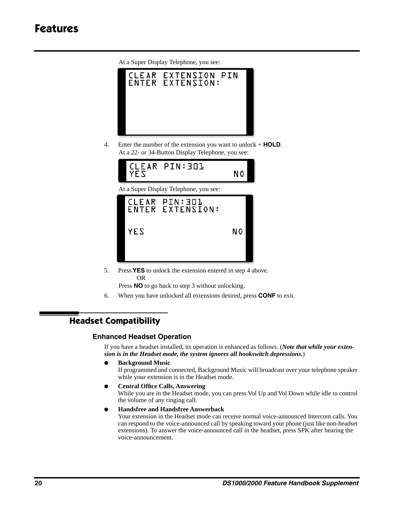

- 4. Enter the number of the extension you want to unlock + **HOLD**.
	- At a 22- or 34-Button Display Telephone, you see: CLEAR PIN:301 YES N٥ At a Super Display Telephone, you see: CLEAR **PIN:301** ENTER EXTENSION: YES N0
- 5. Press **YES** to unlock the extension entered in step 4 above. OR

Press **NO** to go back to step 3 without unlocking.

6. When you have unlocked all extensions desired, press **CONF** to exit.

## **Headset Compatibility**

## **Enhanced Headset Operation**

If you have a headset installed, its operation is enhanced as follows. (*Note that while your extension is in the Headset mode, the system ignores all hookswitch depressions.*)

● **Background Music**

If programmed and connected, Background Music will broadcast over your telephone speaker while your extension is in the Headset mode.

● **Central Office Calls, Answering**

While you are in the Headset mode, you can press Vol Up and Vol Down while idle to control the volume of any ringing call.

● **Handsfree and Handsfree Answerback**

Your extension in the Headset mode can receive normal voice-announced Intercom calls. You can respond to the voice-announced call by speaking toward your phone (just like non-headset extensions). To answer the voice-announced call in the headset, press SPK after hearing the voice-announcement.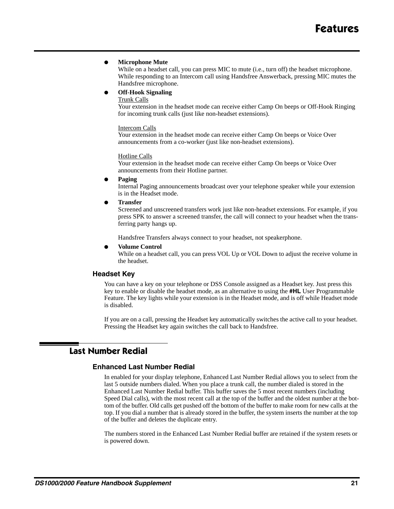#### **Microphone Mute**

While on a headset call, you can press MIC to mute (i.e., turn off) the headset microphone. While responding to an Intercom call using Handsfree Answerback, pressing MIC mutes the Handsfree microphone.

#### ● **Off-Hook Signaling**

Trunk Calls

Your extension in the headset mode can receive either Camp On beeps or Off-Hook Ringing for incoming trunk calls (just like non-headset extensions).

#### Intercom Calls

Your extension in the headset mode can receive either Camp On beeps or Voice Over announcements from a co-worker (just like non-headset extensions).

#### Hotline Calls

Your extension in the headset mode can receive either Camp On beeps or Voice Over announcements from their Hotline partner.

● **Paging**

Internal Paging announcements broadcast over your telephone speaker while your extension is in the Headset mode.

● **Transfer**

Screened and unscreened transfers work just like non-headset extensions. For example, if you press SPK to answer a screened transfer, the call will connect to your headset when the transferring party hangs up.

Handsfree Transfers always connect to your headset, not speakerphone.

#### **Volume Control**

While on a headset call, you can press VOL Up or VOL Down to adjust the receive volume in the headset.

## **Headset Key**

You can have a key on your telephone or DSS Console assigned as a Headset key. Just press this key to enable or disable the headset mode, as an alternative to using the **#HL** User Programmable Feature. The key lights while your extension is in the Headset mode, and is off while Headset mode is disabled.

If you are on a call, pressing the Headset key automatically switches the active call to your headset. Pressing the Headset key again switches the call back to Handsfree.

## **Last Number Redial**

## **Enhanced Last Number Redial**

In enabled for your display telephone, Enhanced Last Number Redial allows you to select from the last 5 outside numbers dialed. When you place a trunk call, the number dialed is stored in the Enhanced Last Number Redial buffer. This buffer saves the 5 most recent numbers (including Speed Dial calls), with the most recent call at the top of the buffer and the oldest number at the bottom of the buffer. Old calls get pushed off the bottom of the buffer to make room for new calls at the top. If you dial a number that is already stored in the buffer, the system inserts the number at the top of the buffer and deletes the duplicate entry.

The numbers stored in the Enhanced Last Number Redial buffer are retained if the system resets or is powered down.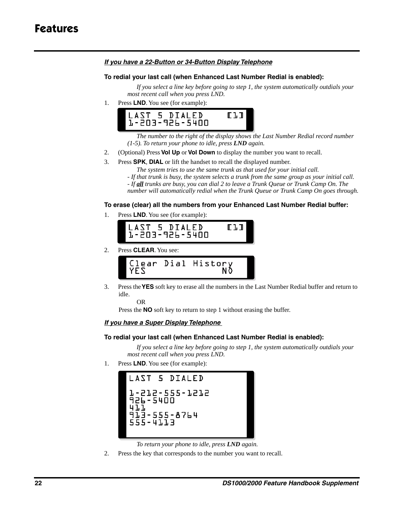## *If you have a 22-Button or 34-Button Display Telephone*

## **To redial your last call (when Enhanced Last Number Redial is enabled):**

*If you select a line key before going to step 1, the system automatically outdials your most recent call when you press LND.*

1. Press **LND**. You see (for example):



*The number to the right of the display shows the Last Number Redial record number (1-5). To return your phone to idle, press LND again.*

- 2. (Optional) Press **Vol Up** or **Vol Down** to display the number you want to recall.
- 3. Press **SPK**, **DIAL** or lift the handset to recall the displayed number.

*The system tries to use the same trunk as that used for your initial call.* 

*- If that trunk is busy, the system selects a trunk from the same group as your initial call.* 

*- If all trunks are busy, you can dial 2 to leave a Trunk Queue or Trunk Camp On. The* 

*number will automatically redial when the Trunk Queue or Trunk Camp On goes through.*

## **To erase (clear) all the numbers from your Enhanced Last Number Redial buffer:**

1. Press **LND**. You see (for example):





3. Press the **YES** soft key to erase all the numbers in the Last Number Redial buffer and return to idle.

OR

Press the **NO** soft key to return to step 1 without erasing the buffer.

## *If you have a Super Display Telephone*

## **To redial your last call (when Enhanced Last Number Redial is enabled):**

*If you select a line key before going to step 1, the system automatically outdials your most recent call when you press LND.*

1. Press **LND**. You see (for example):



*To return your phone to idle, press LND again.*

2. Press the key that corresponds to the number you want to recall.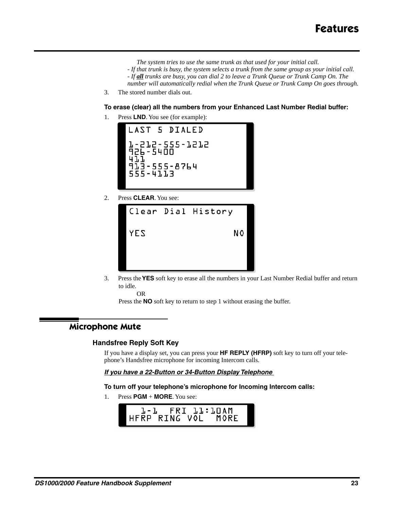- *The system tries to use the same trunk as that used for your initial call.*
- *If that trunk is busy, the system selects a trunk from the same group as your initial call.*
- *If all trunks are busy, you can dial 2 to leave a Trunk Queue or Trunk Camp On. The*
- *number will automatically redial when the Trunk Queue or Trunk Camp On goes through.*
- 3. The stored number dials out.

**To erase (clear) all the numbers from your Enhanced Last Number Redial buffer:**

1. Press **LND**. You see (for example):



2. Press **CLEAR**. You see:



3. Press the **YES** soft key to erase all the numbers in your Last Number Redial buffer and return to idle.

OR

Press the **NO** soft key to return to step 1 without erasing the buffer.

## **Microphone Mute**

## **Handsfree Reply Soft Key**

If you have a display set, you can press your **HF REPLY (HFRP)** soft key to turn off your telephone's Handsfree microphone for incoming Intercom calls.

#### *If you have a 22-Button or 34-Button Display Telephone*

#### **To turn off your telephone's microphone for Incoming Intercom calls:**

1. Press **PGM** + **MORE**. You see:

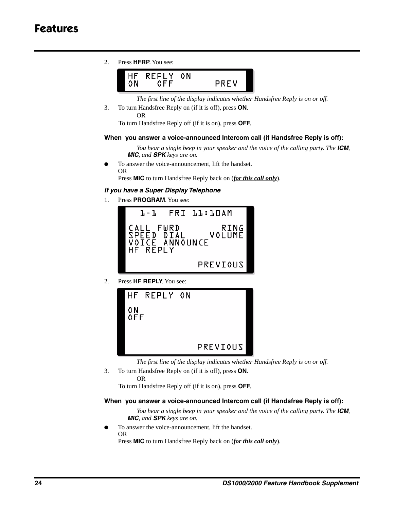# **Features**

2. Press **HFRP**. You see:



*The first line of the display indicates whether Handsfree Reply is on or off.*

3. To turn Handsfree Reply on (if it is off), press **ON**. OR

To turn Handsfree Reply off (if it is on), press **OFF**.

#### **When you answer a voice-announced Intercom call (if Handsfree Reply is off):**

*You hear a single beep in your speaker and the voice of the calling party. The ICM, MIC, and SPK keys are on.*

To answer the voice-announcement, lift the handset. OR

Press **MIC** to turn Handsfree Reply back on (*for this call only*).

## *If you have a Super Display Telephone*

1. Press **PROGRAM**. You see:



2. Press **HF REPLY**. You see:



*The first line of the display indicates whether Handsfree Reply is on or off.*

3. To turn Handsfree Reply on (if it is off), press **ON**. OR

To turn Handsfree Reply off (if it is on), press **OFF**.

## **When you answer a voice-announced Intercom call (if Handsfree Reply is off):**

*You hear a single beep in your speaker and the voice of the calling party. The ICM, MIC, and SPK keys are on.*

To answer the voice-announcement, lift the handset. OR

Press **MIC** to turn Handsfree Reply back on (*for this call only*).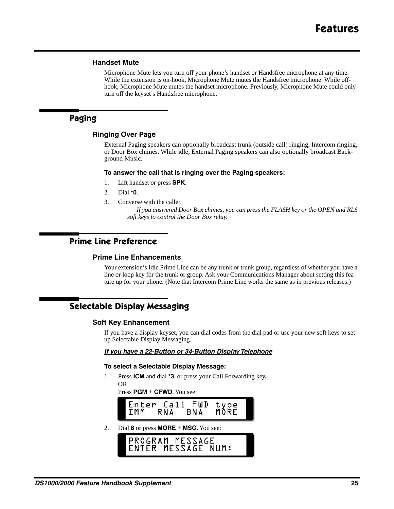## **Handset Mute**

Microphone Mute lets you turn off your phone's handset or Handsfree microphone at any time. While the extension is on-hook, Microphone Mute mutes the Handsfree microphone. While offhook, Microphone Mute mutes the handset microphone. Previously, Microphone Mute could only turn off the keyset's Handsfree microphone.

## **Paging**

## **Ringing Over Page**

External Paging speakers can optionally broadcast trunk (outside call) ringing, Intercom ringing, or Door Box chimes. While idle, External Paging speakers can also optionally broadcast Background Music.

#### **To answer the call that is ringing over the Paging speakers:**

- 1. Lift handset or press **SPK**.
- 2. Dial **\*0**.
- 3. Converse with the caller.

*If you answered Door Box chimes, you can press the FLASH key or the OPEN and RLS soft keys to control the Door Box relay.*

## **Prime Line Preference**

## **Prime Line Enhancements**

Your extension's Idle Prime Line can be any trunk or trunk group, regardless of whether you have a line or loop key for the trunk or group. Ask your Communications Manager about setting this feature up for your phone. (Note that Intercom Prime Line works the same as in previous releases.)

## **Selectable Display Messaging**

## **Soft Key Enhancement**

If you have a display keyset, you can dial codes from the dial pad or use your new soft keys to set up Selectable Display Messaging.

## *If you have a 22-Button or 34-Button Display Telephone*

#### **To select a Selectable Display Message:**

1. Press **ICM** and dial **\*3**, or press your Call Forwarding key**.** OR

Press **PGM** + **CFWD**. You see:



2. Dial **8** or press **MORE** + **MSG**. You see:

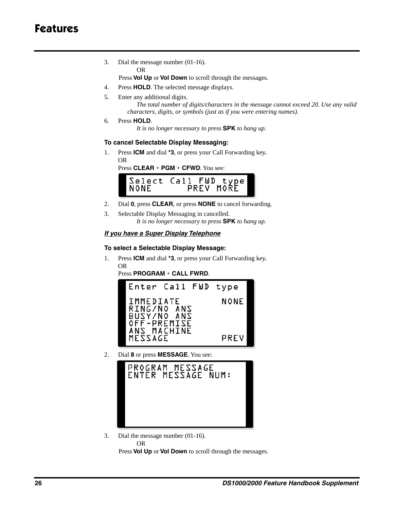3. Dial the message number (01-16).

OR

Press **Vol Up** or **Vol Down** to scroll through the messages.

- 4. Press **HOLD**. The selected message displays.
- 5. Enter any additional digits.

*The total number of digits/characters in the message cannot exceed 20. Use any valid characters, digits, or symbols (just as if you were entering names).*

6. Press **HOLD**.

*It is no longer necessary to press* **SPK** *to hang up.*

## **To cancel Selectable Display Messaging:**

1. Press **ICM** and dial **\*3**, or press your Call Forwarding key**.** OR

Press **CLEAR** + **PGM** + **CFWD**. You see:



- 2. Dial **0**, press **CLEAR**, or press **NONE** to cancel forwarding.
- 3. Selectable Display Messaging in cancelled. *It is no longer necessary to press* **SPK** *to hang up.*

## *If you have a Super Display Telephone*

## **To select a Selectable Display Message:**

1. Press **ICM** and dial **\*3**, or press your Call Forwarding key**.** OR

Press **PROGRAM** + **CALL FWRD**.



2. Dial **8** or press **MESSAGE**. You see:



3. Dial the message number (01-16).

OR

Press **Vol Up** or **Vol Down** to scroll through the messages.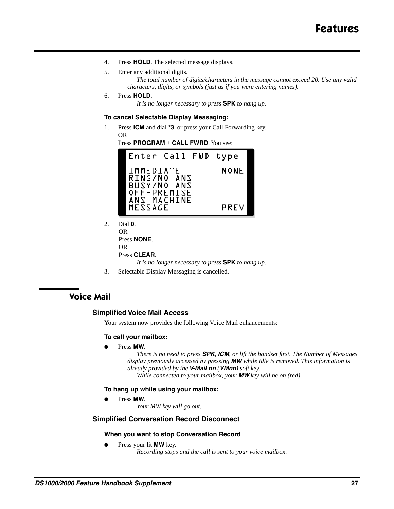- 4. Press **HOLD**. The selected message displays.
- 5. Enter any additional digits. *The total number of digits/characters in the message cannot exceed 20. Use any valid characters, digits, or symbols (just as if you were entering names).*
- 6. Press **HOLD**.

*It is no longer necessary to press* **SPK** *to hang up.*

#### **To cancel Selectable Display Messaging:**

1. Press **ICM** and dial **\*3**, or press your Call Forwarding key. OR

Press **PROGRAM** + **CALL FWRD**. You see:



- 2. Dial **0**. OR Press **NONE**. OR Press **CLEAR**. *It is no longer necessary to press* **SPK** *to hang up.*
- 3. Selectable Display Messaging is cancelled.

## **Voice Mail**

## **Simplified Voice Mail Access**

Your system now provides the following Voice Mail enhancements:

#### **To call your mailbox:**

Press **MW**.

*There is no need to press SPK, ICM, or lift the handset first. The Number of Messages display previously accessed by pressing MW while idle is removed. This information is already provided by the V-Mail nn (VMnn) soft key. While connected to your mailbox, your MW key will be on (red).* 

#### **To hang up while using your mailbox:**

Press **MW**.

*Your MW key will go out.*

## **Simplified Conversation Record Disconnect**

#### **When you want to stop Conversation Record**

Press your lit **MW** key. *Recording stops and the call is sent to your voice mailbox.*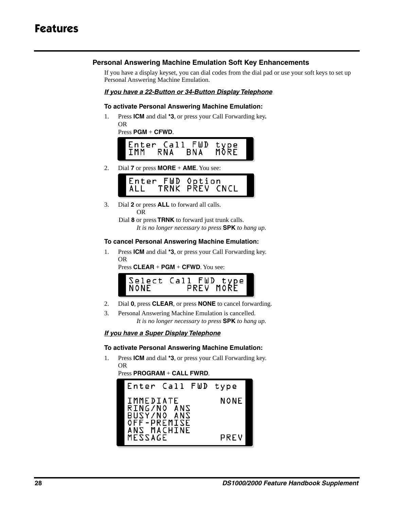## **Personal Answering Machine Emulation Soft Key Enhancements**

If you have a display keyset, you can dial codes from the dial pad or use your soft keys to set up Personal Answering Machine Emulation.

## *If you have a 22-Button or 34-Button Display Telephone*

## **To activate Personal Answering Machine Emulation:**

1. Press **ICM** and dial **\*3**, or press your Call Forwarding key**.** OR

|  | $Press$ PGM $+$ CFWD. |
|--|-----------------------|
|  |                       |



2. Dial **7** or press **MORE** + **AME**. You see:

3. Dial **2** or press **ALL** to forward all calls. OR

> Dial **8** or press **TRNK** to forward just trunk calls. *It is no longer necessary to press* **SPK** *to hang up.*

## **To cancel Personal Answering Machine Emulation:**

1. Press **ICM** and dial **\*3**, or press your Call Forwarding key. OR

Press **CLEAR** + **PGM** + **CFWD**. You see:

|  | Select Call FWD type'<br>⊿NONF PREV MORE |
|--|------------------------------------------|
|--|------------------------------------------|

- 2. Dial **0**, press **CLEAR**, or press **NONE** to cancel forwarding.
- 3. Personal Answering Machine Emulation is cancelled. *It is no longer necessary to press* **SPK** *to hang up.*

## *If you have a Super Display Telephone*

## **To activate Personal Answering Machine Emulation:**

1. Press **ICM** and dial **\*3**, or press your Call Forwarding key. OR

```
Press PROGRAM + CALL FWRD.
```
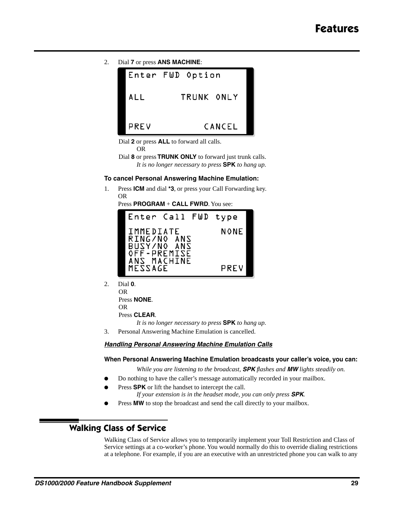2. Dial **7** or press **ANS MACHINE**:



Dial **2** or press **ALL** to forward all calls. OR

Dial **8** or press **TRUNK ONLY** to forward just trunk calls. *It is no longer necessary to press* **SPK** *to hang up.*

## **To cancel Personal Answering Machine Emulation:**

1. Press **ICM** and dial **\*3**, or press your Call Forwarding key. OR

Press **PROGRAM** + **CALL FWRD**. You see:



2. Dial **0**. OR Press **NONE**. OR

Press **CLEAR**.

*It is no longer necessary to press* **SPK** *to hang up.*

3. Personal Answering Machine Emulation is cancelled.

*Handling Personal Answering Machine Emulation Calls*

## **When Personal Answering Machine Emulation broadcasts your caller's voice, you can:**

*While you are listening to the broadcast, SPK flashes and MW lights steadily on.*

- Do nothing to have the caller's message automatically recorded in your mailbox.
- Press **SPK** or lift the handset to intercept the call.
	- *If your extension is in the headset mode, you can only press SPK.*
- Press MW to stop the broadcast and send the call directly to your mailbox.

## **Walking Class of Service**

Walking Class of Service allows you to temporarily implement your Toll Restriction and Class of Service settings at a co-worker's phone. You would normally do this to override dialing restrictions at a telephone. For example, if you are an executive with an unrestricted phone you can walk to any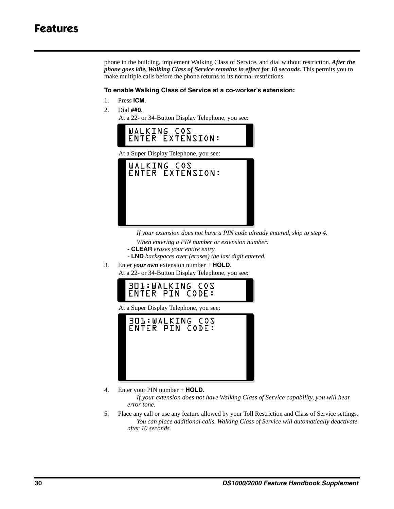phone in the building, implement Walking Class of Service, and dial without restriction. *After the phone goes idle, Walking Class of Service remains in effect for 10 seconds.* This permits you to make multiple calls before the phone returns to its normal restrictions.

#### **To enable Walking Class of Service at a co-worker's extension:**

- 1. Press **ICM**.
- 2. Dial **##0**.

At a 22- or 34-Button Display Telephone, you see:



*If your extension does not have a PIN code already entered, skip to step 4. When entering a PIN number or extension number:*

- **CLEAR** *erases your entire entry.*
- **LND** *backspaces over (erases) the last digit entered.*
- 3. Enter *your own* extension number + **HOLD**.
	- At a 22- or 34-Button Display Telephone, you see:



At a Super Display Telephone, you see:



4. Enter your PIN number + **HOLD**.

*If your extension does not have Walking Class of Service capability, you will hear error tone.*

5. Place any call or use any feature allowed by your Toll Restriction and Class of Service settings. *You can place additional calls. Walking Class of Service will automatically deactivate after 10 seconds.*